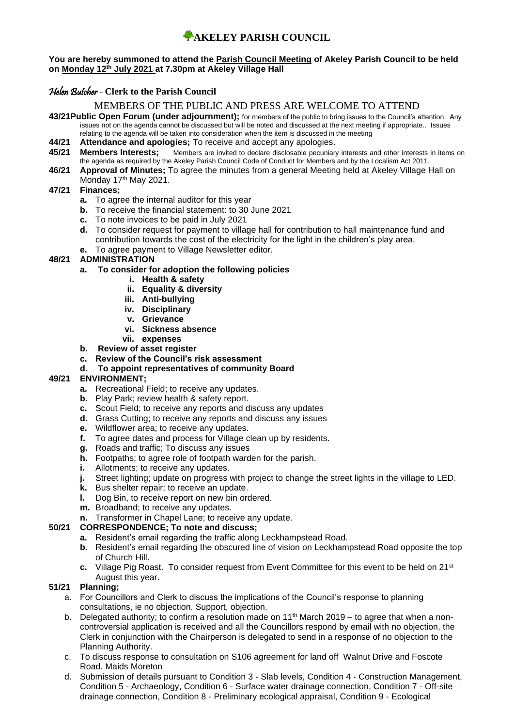#### **You are hereby summoned to attend the Parish Council Meeting of Akeley Parish Council to be held on Monday 12th July 2021 at 7.30pm at Akeley Village Hall**

## Helen Butcher - **Clerk to the Parish Council**

## MEMBERS OF THE PUBLIC AND PRESS ARE WELCOME TO ATTEND

- **43/21Public Open Forum (under adjournment);** for members of the public to bring issues to the Council's attention. Any issues not on the agenda cannot be discussed but will be noted and discussed at the next meeting if appropriate.. Issues relating to the agenda will be taken into consideration when the item is discussed in the meeting
- **44/21 Attendance and apologies;** To receive and accept any apologies.
- **45/21 Members Interests;** Members are invited to declare disclosable pecuniary interests and other interests in items on the agenda as required by the Akeley Parish Council Code of Conduct for Members and by the Localism Act 2011.
- **46/21 Approval of Minutes;** To agree the minutes from a general Meeting held at Akeley Village Hall on Monday 17<sup>th</sup> May 2021.

## **47/21 Finances;**

- **a.** To agree the internal auditor for this year
- **b.** To receive the financial statement: to 30 June 2021
- **c.** To note invoices to be paid in July 2021
- **d.** To consider request for payment to village hall for contribution to hall maintenance fund and contribution towards the cost of the electricity for the light in the children's play area.
- **e.** To agree payment to Village Newsletter editor.

## **48/21 ADMINISTRATION**

## **a. To consider for adoption the following policies**

- **i. Health & safety**
- **ii. Equality & diversity**
- **iii. Anti-bullying**
- **iv. Disciplinary**
- **v. Grievance**
- **vi. Sickness absence**
- **vii. expenses**
- **b. Review of asset register**
- **c. Review of the Council's risk assessment**
- **d. To appoint representatives of community Board**

## **49/21 ENVIRONMENT;**

- **a.** Recreational Field; to receive any updates.
- **b.** Play Park; review health & safety report.
- **c.** Scout Field; to receive any reports and discuss any updates
- **d.** Grass Cutting; to receive any reports and discuss any issues
- **e.** Wildflower area; to receive any updates.
- **f.** To agree dates and process for Village clean up by residents.
- **g.** Roads and traffic; To discuss any issues
- **h.** Footpaths; to agree role of footpath warden for the parish.
- **i.** Allotments; to receive any updates.
- **j.** Street lighting; update on progress with project to change the street lights in the village to LED.
- **k.** Bus shelter repair; to receive an update.
- **l.** Dog Bin, to receive report on new bin ordered.
- **m.** Broadband; to receive any updates.
- **n.** Transformer in Chapel Lane; to receive any update.

## **50/21 CORRESPONDENCE; To note and discuss;**

- **a.** Resident's email regarding the traffic along Leckhampstead Road.
- **b.** Resident's email regarding the obscured line of vision on Leckhampstead Road opposite the top of Church Hill.
- **c.** Village Pig Roast. To consider request from Event Committee for this event to be held on 21st August this year.

## **51/21 Planning;**

- a. For Councillors and Clerk to discuss the implications of the Council's response to planning consultations, ie no objection. Support, objection.
- b. Delegated authority; to confirm a resolution made on  $11<sup>th</sup>$  March 2019 to agree that when a noncontroversial application is received and all the Councillors respond by email with no objection, the Clerk in conjunction with the Chairperson is delegated to send in a response of no objection to the Planning Authority.
- c. To discuss response to consultation on S106 agreement for land off Walnut Drive and Foscote Road. Maids Moreton
- d. Submission of details pursuant to Condition 3 Slab levels, Condition 4 Construction Management, Condition 5 - Archaeology, Condition 6 - Surface water drainage connection, Condition 7 - Off-site drainage connection, Condition 8 - Preliminary ecological appraisal, Condition 9 - Ecological